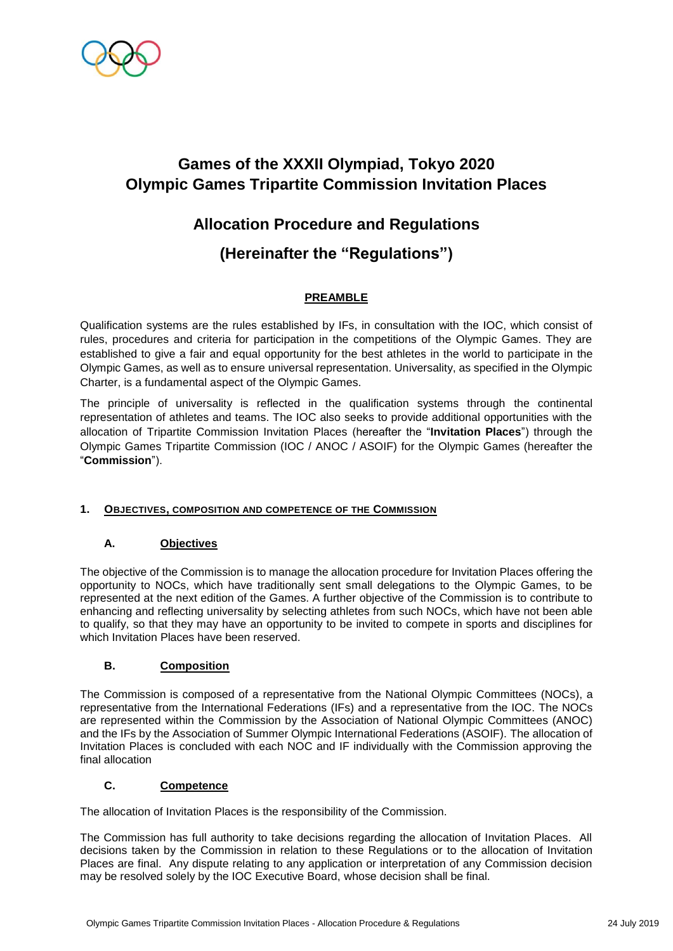

### **Allocation Procedure and Regulations**

### **(Hereinafter the "Regulations")**

### **PREAMBLE**

Qualification systems are the rules established by IFs, in consultation with the IOC, which consist of rules, procedures and criteria for participation in the competitions of the Olympic Games. They are established to give a fair and equal opportunity for the best athletes in the world to participate in the Olympic Games, as well as to ensure universal representation. Universality, as specified in the Olympic Charter, is a fundamental aspect of the Olympic Games.

The principle of universality is reflected in the qualification systems through the continental representation of athletes and teams. The IOC also seeks to provide additional opportunities with the allocation of Tripartite Commission Invitation Places (hereafter the "**Invitation Places**") through the Olympic Games Tripartite Commission (IOC / ANOC / ASOIF) for the Olympic Games (hereafter the "**Commission**").

#### **1. OBJECTIVES, COMPOSITION AND COMPETENCE OF THE COMMISSION**

### **A. Objectives**

The objective of the Commission is to manage the allocation procedure for Invitation Places offering the opportunity to NOCs, which have traditionally sent small delegations to the Olympic Games, to be represented at the next edition of the Games. A further objective of the Commission is to contribute to enhancing and reflecting universality by selecting athletes from such NOCs, which have not been able to qualify, so that they may have an opportunity to be invited to compete in sports and disciplines for which Invitation Places have been reserved.

#### **B. Composition**

The Commission is composed of a representative from the National Olympic Committees (NOCs), a representative from the International Federations (IFs) and a representative from the IOC. The NOCs are represented within the Commission by the Association of National Olympic Committees (ANOC) and the IFs by the Association of Summer Olympic International Federations (ASOIF). The allocation of Invitation Places is concluded with each NOC and IF individually with the Commission approving the final allocation

### **C. Competence**

The allocation of Invitation Places is the responsibility of the Commission.

The Commission has full authority to take decisions regarding the allocation of Invitation Places. All decisions taken by the Commission in relation to these Regulations or to the allocation of Invitation Places are final. Any dispute relating to any application or interpretation of any Commission decision may be resolved solely by the IOC Executive Board, whose decision shall be final.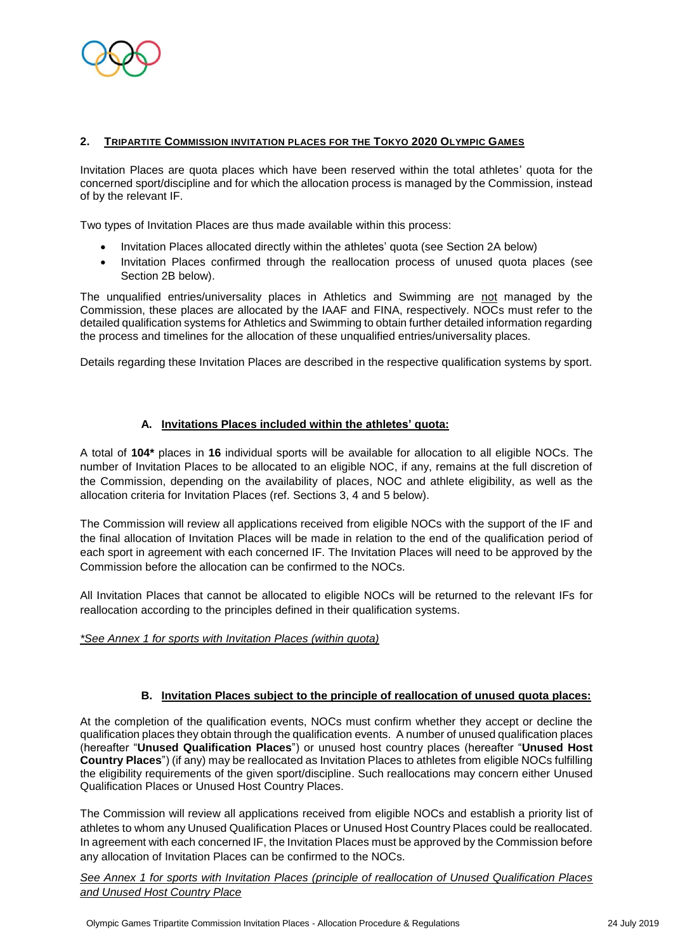

#### **2. TRIPARTITE COMMISSION INVITATION PLACES FOR THE TOKYO 2020 OLYMPIC GAMES**

Invitation Places are quota places which have been reserved within the total athletes' quota for the concerned sport/discipline and for which the allocation process is managed by the Commission, instead of by the relevant IF.

Two types of Invitation Places are thus made available within this process:

- Invitation Places allocated directly within the athletes' quota (see Section 2A below)
- Invitation Places confirmed through the reallocation process of unused quota places (see Section 2B below).

The unqualified entries/universality places in Athletics and Swimming are not managed by the Commission, these places are allocated by the IAAF and FINA, respectively. NOCs must refer to the detailed qualification systems for Athletics and Swimming to obtain further detailed information regarding the process and timelines for the allocation of these unqualified entries/universality places.

Details regarding these Invitation Places are described in the respective qualification systems by sport.

#### **A. Invitations Places included within the athletes' quota:**

A total of **104\*** places in **16** individual sports will be available for allocation to all eligible NOCs. The number of Invitation Places to be allocated to an eligible NOC, if any, remains at the full discretion of the Commission, depending on the availability of places, NOC and athlete eligibility, as well as the allocation criteria for Invitation Places (ref. Sections 3, 4 and 5 below).

The Commission will review all applications received from eligible NOCs with the support of the IF and the final allocation of Invitation Places will be made in relation to the end of the qualification period of each sport in agreement with each concerned IF. The Invitation Places will need to be approved by the Commission before the allocation can be confirmed to the NOCs.

All Invitation Places that cannot be allocated to eligible NOCs will be returned to the relevant IFs for reallocation according to the principles defined in their qualification systems.

#### *\*See Annex 1 for sports with Invitation Places (within quota)*

#### **B. Invitation Places subject to the principle of reallocation of unused quota places:**

At the completion of the qualification events, NOCs must confirm whether they accept or decline the qualification places they obtain through the qualification events. A number of unused qualification places (hereafter "**Unused Qualification Places**") or unused host country places (hereafter "**Unused Host Country Places**") (if any) may be reallocated as Invitation Places to athletes from eligible NOCs fulfilling the eligibility requirements of the given sport/discipline. Such reallocations may concern either Unused Qualification Places or Unused Host Country Places.

The Commission will review all applications received from eligible NOCs and establish a priority list of athletes to whom any Unused Qualification Places or Unused Host Country Places could be reallocated. In agreement with each concerned IF, the Invitation Places must be approved by the Commission before any allocation of Invitation Places can be confirmed to the NOCs.

*See Annex 1 for sports with Invitation Places (principle of reallocation of Unused Qualification Places and Unused Host Country Place*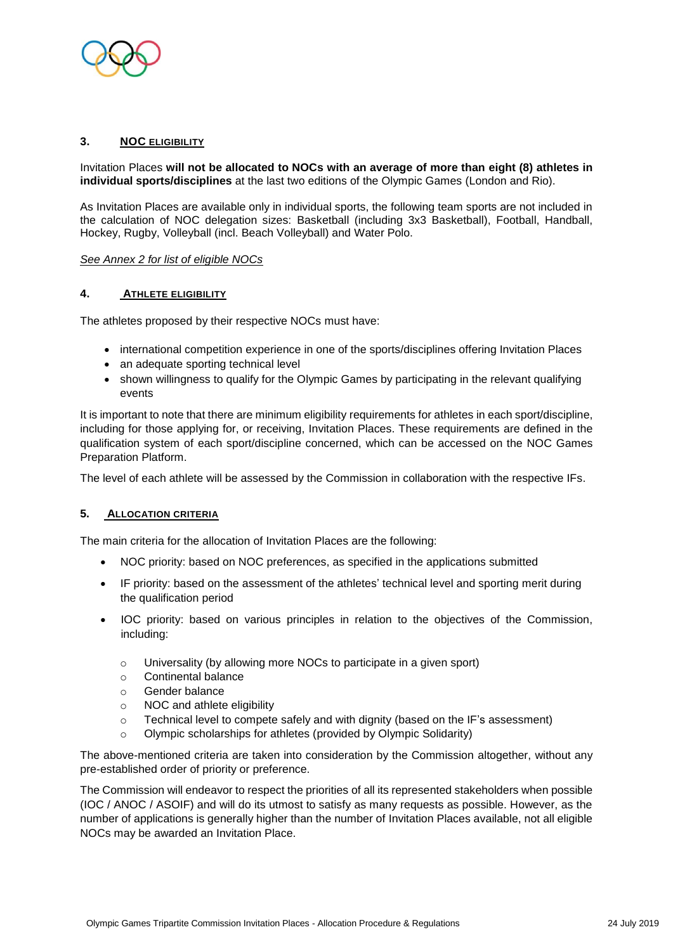

#### **3. NOC ELIGIBILITY**

Invitation Places **will not be allocated to NOCs with an average of more than eight (8) athletes in individual sports/disciplines** at the last two editions of the Olympic Games (London and Rio).

As Invitation Places are available only in individual sports, the following team sports are not included in the calculation of NOC delegation sizes: Basketball (including 3x3 Basketball), Football, Handball, Hockey, Rugby, Volleyball (incl. Beach Volleyball) and Water Polo.

#### *See Annex 2 for list of eligible NOCs*

#### **4. ATHLETE ELIGIBILITY**

The athletes proposed by their respective NOCs must have:

- international competition experience in one of the sports/disciplines offering Invitation Places
- an adequate sporting technical level
- shown willingness to qualify for the Olympic Games by participating in the relevant qualifying events

It is important to note that there are minimum eligibility requirements for athletes in each sport/discipline, including for those applying for, or receiving, Invitation Places. These requirements are defined in the qualification system of each sport/discipline concerned, which can be accessed on the NOC Games Preparation Platform.

The level of each athlete will be assessed by the Commission in collaboration with the respective IFs.

#### **5. ALLOCATION CRITERIA**

The main criteria for the allocation of Invitation Places are the following:

- NOC priority: based on NOC preferences, as specified in the applications submitted
- IF priority: based on the assessment of the athletes' technical level and sporting merit during the qualification period
- IOC priority: based on various principles in relation to the objectives of the Commission, including:
	- o Universality (by allowing more NOCs to participate in a given sport)
	- o Continental balance
	- o Gender balance
	- o NOC and athlete eligibility
	- $\circ$  Technical level to compete safely and with dignity (based on the IF's assessment)
	- Olympic scholarships for athletes (provided by Olympic Solidarity)

The above-mentioned criteria are taken into consideration by the Commission altogether, without any pre-established order of priority or preference.

The Commission will endeavor to respect the priorities of all its represented stakeholders when possible (IOC / ANOC / ASOIF) and will do its utmost to satisfy as many requests as possible. However, as the number of applications is generally higher than the number of Invitation Places available, not all eligible NOCs may be awarded an Invitation Place.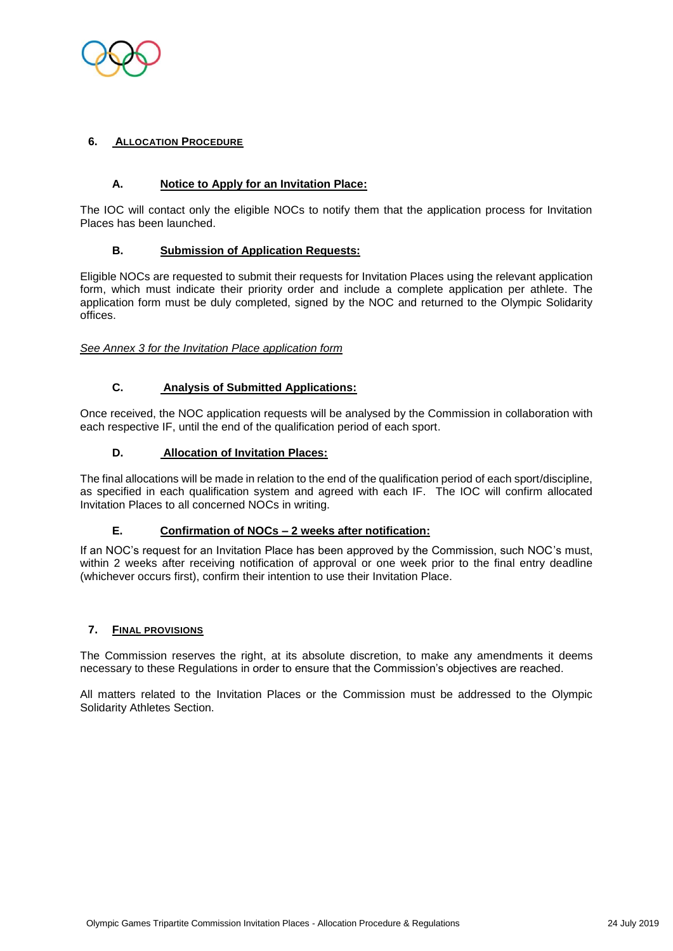

#### **6. ALLOCATION PROCEDURE**

#### **A. Notice to Apply for an Invitation Place:**

The IOC will contact only the eligible NOCs to notify them that the application process for Invitation Places has been launched.

#### **B. Submission of Application Requests:**

Eligible NOCs are requested to submit their requests for Invitation Places using the relevant application form, which must indicate their priority order and include a complete application per athlete. The application form must be duly completed, signed by the NOC and returned to the Olympic Solidarity offices.

#### *See Annex 3 for the Invitation Place application form*

### **C. Analysis of Submitted Applications:**

Once received, the NOC application requests will be analysed by the Commission in collaboration with each respective IF, until the end of the qualification period of each sport.

#### **D. Allocation of Invitation Places:**

The final allocations will be made in relation to the end of the qualification period of each sport/discipline, as specified in each qualification system and agreed with each IF. The IOC will confirm allocated Invitation Places to all concerned NOCs in writing.

#### **E. Confirmation of NOCs – 2 weeks after notification:**

If an NOC's request for an Invitation Place has been approved by the Commission, such NOC's must, within 2 weeks after receiving notification of approval or one week prior to the final entry deadline (whichever occurs first), confirm their intention to use their Invitation Place.

#### **7. FINAL PROVISIONS**

The Commission reserves the right, at its absolute discretion, to make any amendments it deems necessary to these Regulations in order to ensure that the Commission's objectives are reached.

All matters related to the Invitation Places or the Commission must be addressed to the Olympic Solidarity Athletes Section.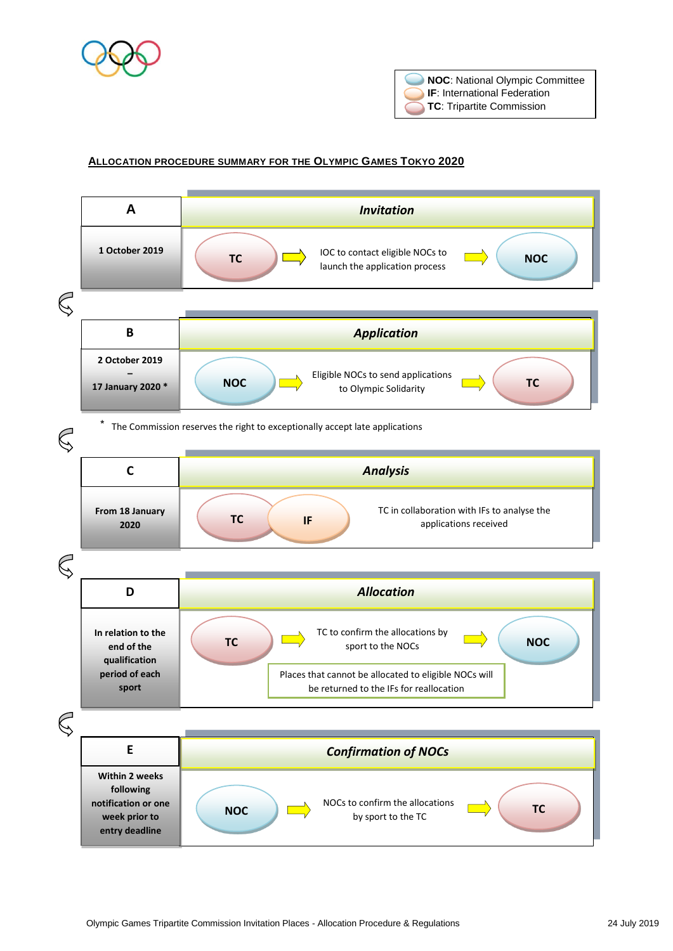



#### **ALLOCATION PROCEDURE SUMMARY FOR THE OLYMPIC GAMES TOKYO 2020**

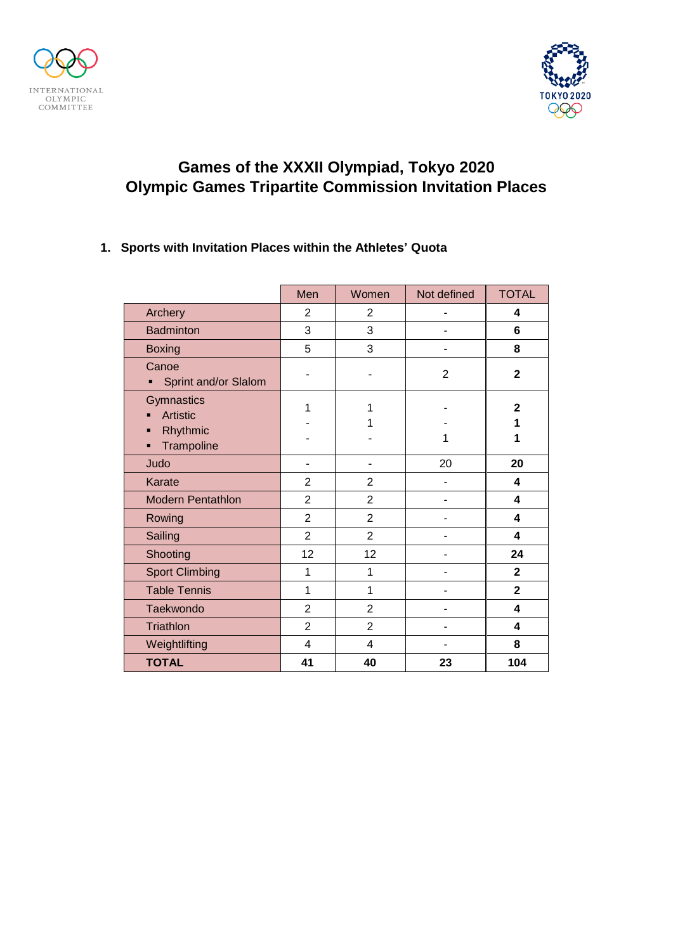



### **1. Sports with Invitation Places within the Athletes' Quota**

|                                    | Men            | Women                   | Not defined    | <b>TOTAL</b>   |
|------------------------------------|----------------|-------------------------|----------------|----------------|
| Archery                            | $\overline{2}$ | $\overline{2}$          |                | 4              |
| <b>Badminton</b>                   | 3              | 3                       |                | $6\phantom{1}$ |
| <b>Boxing</b>                      | 5              | 3                       |                | 8              |
| Canoe<br>Sprint and/or Slalom      |                |                         | $\overline{2}$ | $\mathbf{2}$   |
| Gymnastics<br><b>Artistic</b><br>п | 1              | 1<br>1                  |                | $\mathbf{2}$   |
| Rhythmic<br>п<br>Trampoline<br>п   |                |                         |                | 1<br>1         |
| Judo                               |                |                         | 20             | 20             |
| Karate                             | $\overline{2}$ | $\overline{2}$          | ۳              | 4              |
| <b>Modern Pentathlon</b>           | $\overline{2}$ | $\overline{2}$          |                | 4              |
| Rowing                             | $\overline{2}$ | $\overline{2}$          |                | 4              |
| Sailing                            | $\overline{2}$ | $\overline{2}$          |                | 4              |
| Shooting                           | 12             | 12                      | -              | 24             |
| <b>Sport Climbing</b>              | 1              | 1                       |                | $\overline{2}$ |
| <b>Table Tennis</b>                | 1              | 1                       |                | $\overline{2}$ |
| Taekwondo                          | $\overline{2}$ | $\overline{2}$          |                | 4              |
| Triathlon                          | $\overline{2}$ | $\overline{2}$          | $\blacksquare$ | 4              |
| Weightlifting                      | 4              | $\overline{\mathbf{4}}$ |                | 8              |
| <b>TOTAL</b>                       | 41             | 40                      | 23             | 104            |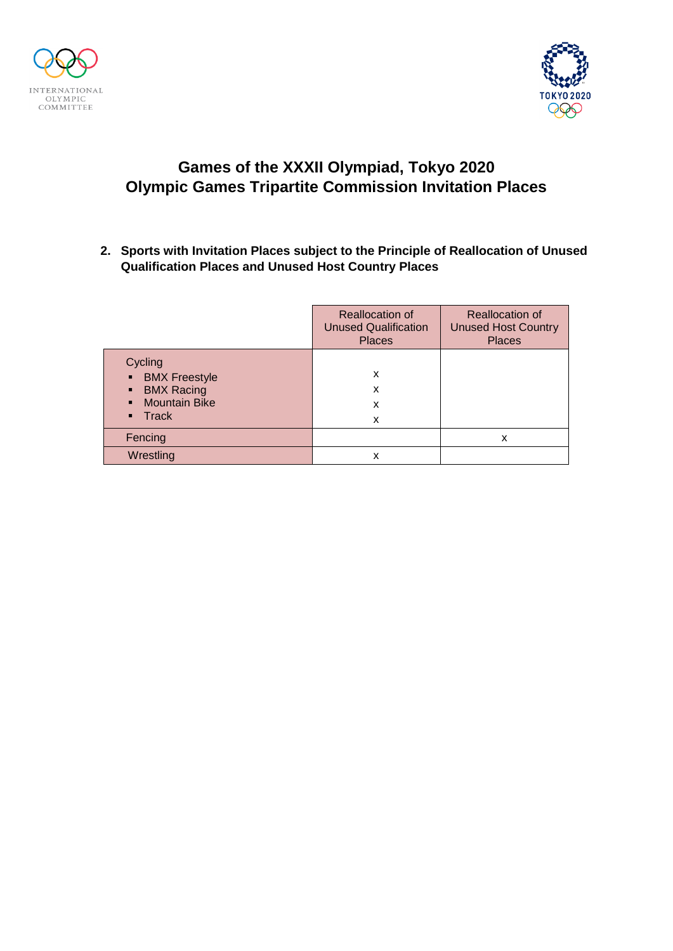



**2. Sports with Invitation Places subject to the Principle of Reallocation of Unused Qualification Places and Unused Host Country Places**

|                                                                                                                   | <b>Reallocation of</b><br><b>Unused Qualification</b><br><b>Places</b> | <b>Reallocation of</b><br><b>Unused Host Country</b><br><b>Places</b> |
|-------------------------------------------------------------------------------------------------------------------|------------------------------------------------------------------------|-----------------------------------------------------------------------|
| Cycling<br><b>BMX</b> Freestyle<br>п<br><b>BMX Racing</b><br>п<br><b>Mountain Bike</b><br>Track<br>$\blacksquare$ | x<br>x<br>x<br>x                                                       |                                                                       |
| Fencing                                                                                                           |                                                                        | x                                                                     |
| Wrestling                                                                                                         | x                                                                      |                                                                       |